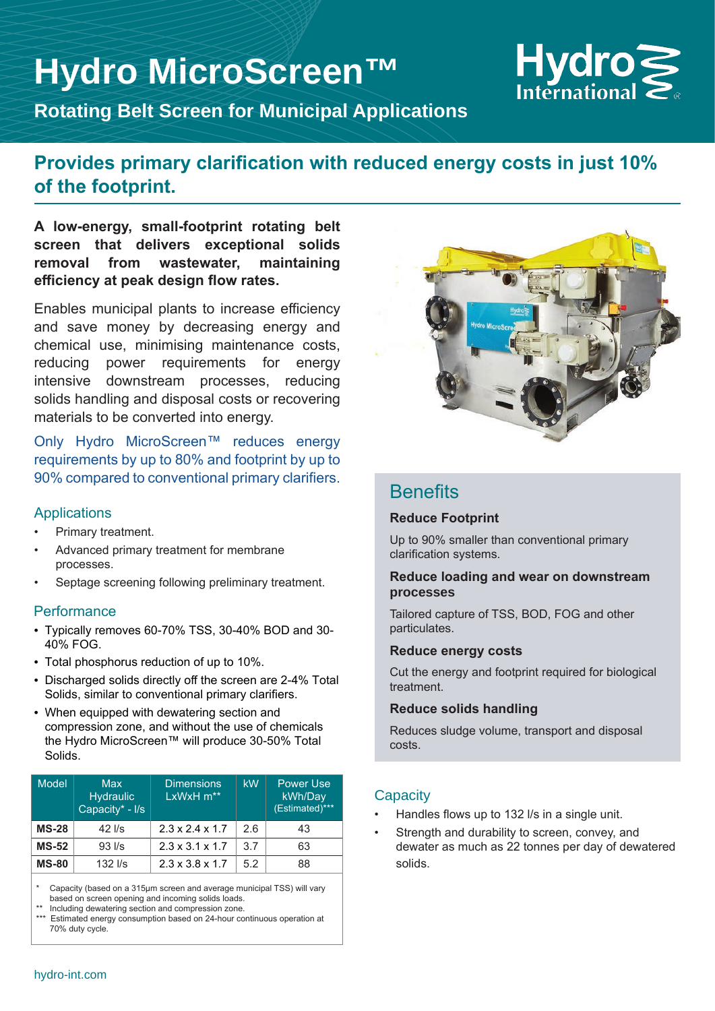# **Hydro MicroScreen™**



**Rotating Belt Screen for Municipal Applications**

### **Provides primary clarification with reduced energy costs in just 10% of the footprint.**

**A low-energy, small-footprint rotating belt screen that delivers exceptional solids removal from wastewater, maintaining efficiency at peak design flow rates.** 

Enables municipal plants to increase efficiency and save money by decreasing energy and chemical use, minimising maintenance costs, reducing power requirements for energy intensive downstream processes, reducing solids handling and disposal costs or recovering materials to be converted into energy.

Only Hydro MicroScreen™ reduces energy requirements by up to 80% and footprint by up to 90% compared to conventional primary clarifiers.

#### Applications

- Primary treatment.
- Advanced primary treatment for membrane processes.
- Septage screening following preliminary treatment.

#### **Performance**

- Typically removes 60-70% TSS, 30-40% BOD and 30- 40% FOG.
- Total phosphorus reduction of up to 10%.
- Discharged solids directly off the screen are 2-4% Total Solids, similar to conventional primary clarifiers.
- When equipped with dewatering section and compression zone, and without the use of chemicals the Hydro MicroScreen™ will produce 30-50% Total Solids.

| Model        | <b>Max</b><br><b>Hydraulic</b><br>Capacity* - I/s | <b>Dimensions</b><br>LxWxH m** | kW  | <b>Power Use</b><br>kWh/Day<br>(Estimated)*** |
|--------------|---------------------------------------------------|--------------------------------|-----|-----------------------------------------------|
| $MS-28$      | $42$ I/s                                          | $2.3 \times 2.4 \times 1.7$    | 2.6 | 43                                            |
| <b>MS-52</b> | $93$ $\text{I/s}$                                 | $2.3 \times 3.1 \times 1.7$    | 3.7 | 63                                            |
| <b>MS-80</b> | $132$ $\text{I/s}$                                | $2.3 \times 3.8 \times 1.7$    | 5.2 | 88                                            |

Capacity (based on a 315µm screen and average municipal TSS) will vary based on screen opening and incoming solids loads.

Including dewatering section and compression zone.

\*\*\* Estimated energy consumption based on 24-hour continuous operation at 70% duty cycle.



### **Benefits**

#### **Reduce Footprint**

Up to 90% smaller than conventional primary clarification systems.

#### **Reduce loading and wear on downstream processes**

Tailored capture of TSS, BOD, FOG and other particulates.

#### **Reduce energy costs**

Cut the energy and footprint required for biological treatment.

#### **Reduce solids handling**

Reduces sludge volume, transport and disposal costs.

### **Capacity**

- Handles flows up to 132 l/s in a single unit.
- Strength and durability to screen, convey, and dewater as much as 22 tonnes per day of dewatered solids.